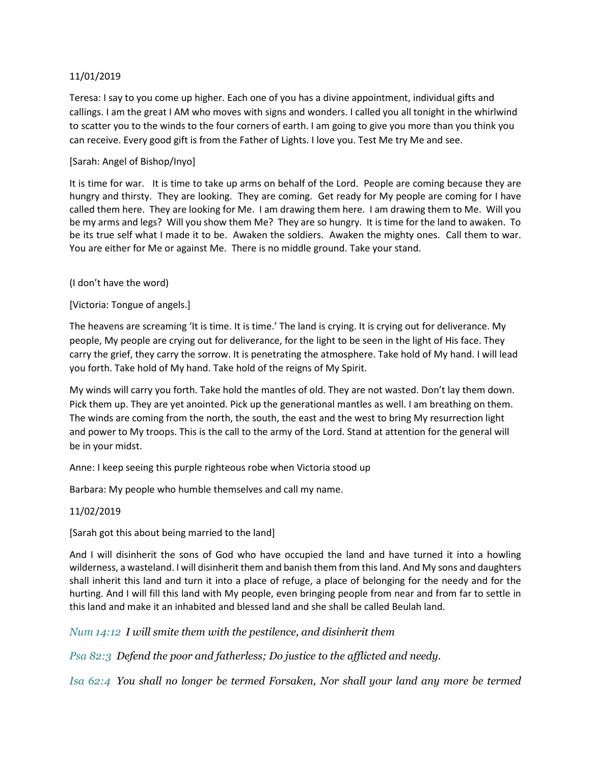# 11/01/2019

Teresa: I say to you come up higher. Each one of you has a divine appointment, individual gifts and callings. I am the great I AM who moves with signs and wonders. I called you all tonight in the whirlwind to scatter you to the winds to the four corners of earth. I am going to give you more than you think you can receive. Every good gift is from the Father of Lights. I love you. Test Me try Me and see.

## [Sarah: Angel of Bishop/Inyo]

It is time for war. It is time to take up arms on behalf of the Lord. People are coming because they are hungry and thirsty. They are looking. They are coming. Get ready for My people are coming for I have called them here. They are looking for Me. I am drawing them here. I am drawing them to Me. Will you be my arms and legs? Will you show them Me? They are so hungry. It is time for the land to awaken. To be its true self what I made it to be. Awaken the soldiers. Awaken the mighty ones. Call them to war. You are either for Me or against Me. There is no middle ground. Take your stand.

### (I don't have the word)

# [Victoria: Tongue of angels.]

The heavens are screaming 'It is time. It is time.' The land is crying. It is crying out for deliverance. My people, My people are crying out for deliverance, for the light to be seen in the light of His face. They carry the grief, they carry the sorrow. It is penetrating the atmosphere. Take hold of My hand. I will lead you forth. Take hold of My hand. Take hold of the reigns of My Spirit.

My winds will carry you forth. Take hold the mantles of old. They are not wasted. Don't lay them down. Pick them up. They are yet anointed. Pick up the generational mantles as well. I am breathing on them. The winds are coming from the north, the south, the east and the west to bring My resurrection light and power to My troops. This is the call to the army of the Lord. Stand at attention for the general will be in your midst.

Anne: I keep seeing this purple righteous robe when Victoria stood up

Barbara: My people who humble themselves and call my name.

#### 11/02/2019

[Sarah got this about being married to the land]

And I will disinherit the sons of God who have occupied the land and have turned it into a howling wilderness, a wasteland. I will disinherit them and banish them from this land. And My sons and daughters shall inherit this land and turn it into a place of refuge, a place of belonging for the needy and for the hurting. And I will fill this land with My people, even bringing people from near and from far to settle in this land and make it an inhabited and blessed land and she shall be called Beulah land.

*Num 14:12 I will smite them with the pestilence, and disinherit them*

*Psa 82:3 Defend the poor and fatherless; Do justice to the afflicted and needy.*

*Isa 62:4 You shall no longer be termed Forsaken, Nor shall your land any more be termed*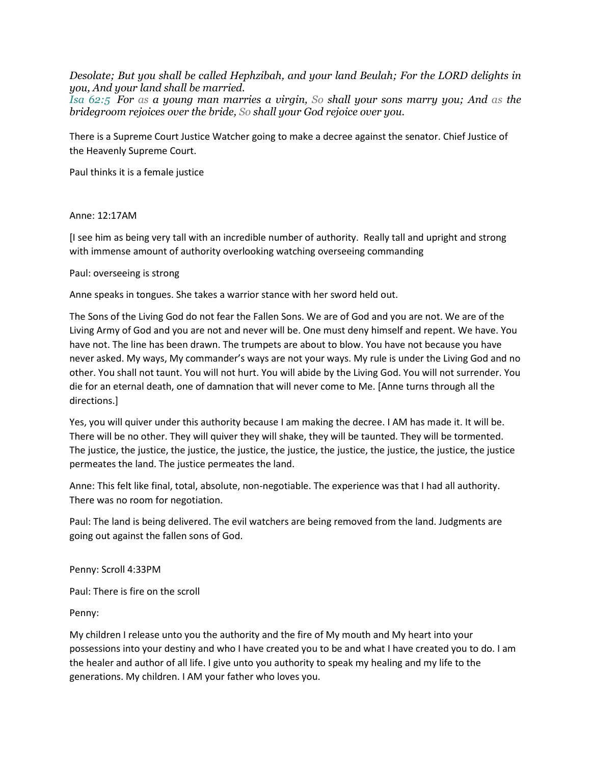*Desolate; But you shall be called Hephzibah, and your land Beulah; For the LORD delights in you, And your land shall be married.*

*Isa 62:5 For as a young man marries a virgin, So shall your sons marry you; And as the bridegroom rejoices over the bride, So shall your God rejoice over you.*

There is a Supreme Court Justice Watcher going to make a decree against the senator. Chief Justice of the Heavenly Supreme Court.

Paul thinks it is a female justice

### Anne: 12:17AM

[I see him as being very tall with an incredible number of authority. Really tall and upright and strong with immense amount of authority overlooking watching overseeing commanding

### Paul: overseeing is strong

Anne speaks in tongues. She takes a warrior stance with her sword held out.

The Sons of the Living God do not fear the Fallen Sons. We are of God and you are not. We are of the Living Army of God and you are not and never will be. One must deny himself and repent. We have. You have not. The line has been drawn. The trumpets are about to blow. You have not because you have never asked. My ways, My commander's ways are not your ways. My rule is under the Living God and no other. You shall not taunt. You will not hurt. You will abide by the Living God. You will not surrender. You die for an eternal death, one of damnation that will never come to Me. [Anne turns through all the directions.]

Yes, you will quiver under this authority because I am making the decree. I AM has made it. It will be. There will be no other. They will quiver they will shake, they will be taunted. They will be tormented. The justice, the justice, the justice, the justice, the justice, the justice, the justice, the justice, the justice permeates the land. The justice permeates the land.

Anne: This felt like final, total, absolute, non-negotiable. The experience was that I had all authority. There was no room for negotiation.

Paul: The land is being delivered. The evil watchers are being removed from the land. Judgments are going out against the fallen sons of God.

Penny: Scroll 4:33PM

Paul: There is fire on the scroll

Penny:

My children I release unto you the authority and the fire of My mouth and My heart into your possessions into your destiny and who I have created you to be and what I have created you to do. I am the healer and author of all life. I give unto you authority to speak my healing and my life to the generations. My children. I AM your father who loves you.